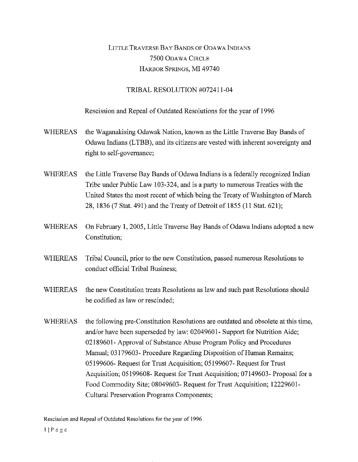## LITTLE TRAVERSE BAY BANDS OF ODAWA INDIANS 7500 ODAWA CIRCLE HARBOR SPRINGS, MI 49740

## TRIBAL RESOLUTION #072411-04

## Rescission and Repeal of Outdated Resolutions for the year of 1996

- WHEREAS the Waganakising Odawak Nation, known as the Little Traverse Bay Bands of Odawa Indians (LTBB), and its citizens are vested with inherent sovereignty and right to self-governance;
- WHEREAS the Little Traverse Bay Bands of Odawa Indians is a federally recognized Indian Tribe under Public Law 103-324, and is a party to numerous Treaties with the United States the most recent of which being the Treaty of Washington of March 28, 1836 (7 Stat. 491) and the Treaty of Detroit of 1855 (11 Stat. 621);
- WHEREAS On February 1, 2005, Little Traverse Bay Bands of Odawa Indians adopted a new Constitution;
- WHEREAS Tribal Council, prior to the new Constitution, passed numerous Resolutions to conduct official Tribal Business;
- WHEREAS the new Constitution treats Resolutions as law and such past Resolutions should be codified as law or rescinded;
- WHEREAS the following pre-Constitution Resolutions are outdated and obsolete at this time, and/or have been superseded by law: 02049601- Support for Nutrition Aide; 02189601- Approval of Substance Abuse Program Policy and Procedures Manual; 03179603- Procedure Regarding Disposition of Human Remains; 05199606- Request for Trust Acquisition; 05199607- Request for Trust Acquisition; 05199608- Request for Trust Acquisition; 07149603- Proposal for a Food Commodity Site; 08049603- Request for Trust Acquisition; 12229601- Cultural Preservation Programs Components;

Rescission and Repeal of Outdated Resolutions for the year of 1996